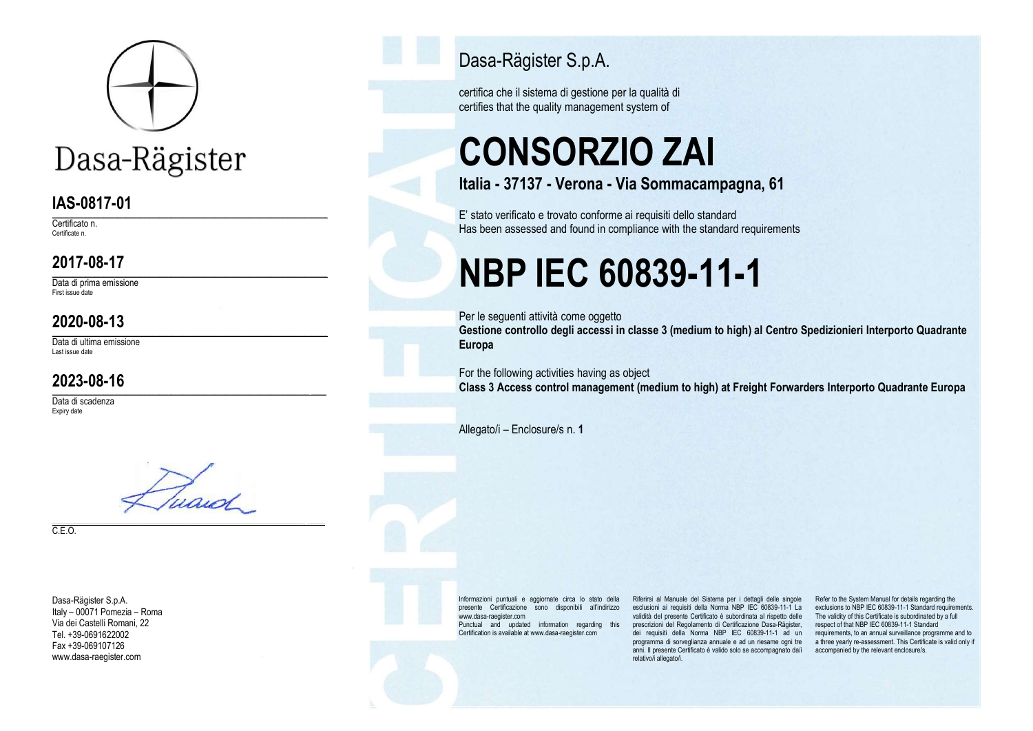

## Dasa-Rägister

#### IAS-0817-01

\_\_\_\_\_\_\_\_\_\_\_\_\_\_\_\_\_\_\_\_\_\_\_\_\_\_\_\_\_\_\_\_\_\_\_\_\_\_\_\_\_\_\_\_\_\_\_\_\_\_\_\_\_\_\_\_\_\_\_\_\_\_\_\_\_\_\_\_\_\_\_\_\_\_\_\_\_\_\_\_\_\_\_\_\_\_\_\_\_\_\_\_\_\_\_\_\_\_\_\_\_\_\_\_\_\_\_\_\_\_\_\_\_\_\_\_\_\_\_\_\_\_\_ Certificato n. Certificate n.

#### 2017-08-17

\_\_\_\_\_\_\_\_\_\_\_\_\_\_\_\_\_\_\_\_\_\_\_\_\_\_\_\_\_\_\_\_\_\_\_\_\_\_\_\_\_\_\_\_\_\_\_\_\_\_\_\_\_\_\_\_\_\_\_\_\_\_\_\_\_\_\_\_\_\_\_\_\_\_\_\_\_\_\_\_\_\_\_\_\_\_\_\_\_\_\_\_\_\_\_\_\_\_\_\_\_\_\_\_\_\_\_\_\_\_\_\_\_\_\_\_\_\_\_\_\_\_\_ Data di prima emissione First issue date

#### 2020-08-13

\_\_\_\_\_\_\_\_\_\_\_\_\_\_\_\_\_\_\_\_\_\_\_\_\_\_\_\_\_\_\_\_\_\_\_\_\_\_\_\_\_\_\_\_\_\_\_\_\_\_\_\_\_\_\_\_\_\_\_\_\_\_\_\_\_\_\_\_\_\_\_\_\_\_\_\_\_\_\_\_\_\_\_\_\_\_\_\_\_\_\_\_\_\_\_\_\_\_\_\_\_\_\_\_\_\_\_\_\_\_\_\_\_\_\_\_\_\_\_\_\_\_\_ Data di ultima emissione Last issue date

#### 2023-08-16

Data di scadenza Expiry date



\_\_\_\_\_\_\_\_\_\_\_\_\_\_\_\_\_\_\_\_\_\_\_\_\_\_\_\_\_\_\_\_\_\_\_\_\_\_\_\_\_\_\_\_\_\_\_\_\_\_\_\_\_\_\_\_\_\_\_\_\_\_\_\_\_\_\_\_\_\_\_\_\_\_\_\_\_\_\_\_\_\_\_\_\_\_\_\_\_\_\_\_\_\_\_\_\_\_\_\_\_\_\_\_\_\_\_\_\_\_\_\_\_\_\_ \_\_\_\_\_\_\_

C.E.O.

Dasa-Rägister S.p.A. Italy – 00071 Pomezia – Roma Via dei Castelli Romani, 22 Tel. +39-0691622002 Fax +39-069107126 www.dasa-raegister.com

Dasa-Rägister S.p.A.

certifica che il sistema di gestione per la qualità di certifies that the quality management system of

# CONSORZIO ZAI

Italia - 37137 - Verona - Via Sommacampagna, 61

E' stato verificato e trovato conforme ai requisiti dello standard Has been assessed and found in compliance with the standard requirements

## NBP IEC 60839-11-1

Per le seguenti attività come oggetto

Gestione controllo degli accessi in classe 3 (medium to high) al Centro Spedizionieri Interporto Quadrante Europa

For the following activities having as object Class 3 Access control management (medium to high) at Freight Forwarders Interporto Quadrante Europa

Allegato/i – Enclosure/s n. 1

Informazioni puntuali e aggiornate circa lo stato della presente Certificazione sono disponibili all'indirizzo www.dasa-raegister.com Punctual and updated information regarding this Certification is available at www.dasa-raegister.com

esclusioni ai requisiti della Norma NBP IEC 60839-11-1 La exclusions to NBP IEC 60839-11-1 Standard requirements. validità del presente Certificato è subordinata al rispetto delle The validity of this Certificate is subordinated by a full prescrizioni del Regolamento di Certificazione Dasa-Rägister, respect of that NBP IEC 60839-11-1 Standard .<br>dei requisiti della Norma NBP IEC 60839-11-1 ad un requirements, to an annual surveillance programme and to programma di sorveglianza annuale e ad un riesame ogni tre athree yearly re-assessment. This Certificate is valid only if anni. Il presente Certificato è valido solo se accompagnato da/i accompanied by the relevant enclosure/s.relativo/i allegato/i.

Riferirsi al Manuale del Sistema per i dettagli delle singole Refer to the System Manual for details regarding the